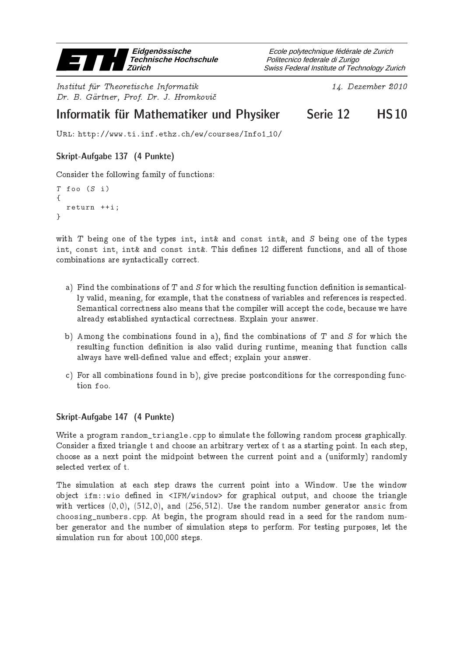

Institut fur Theoretis
he Informatik 14. Dezember <sup>2010</sup> Dr. B. Gärtner, Prof. Dr. J. Hromkovič

Swiss Federal Institute of Technology Zurich Politecnico federale di Zurigo Ecole polytechnique fédérale de Zurich

# Informatik für Mathematiker und Physiker Serie 12 in HS10

Url: http://www.ti.inf.ethz.ch/ew/courses/Info1 10/

# Skript-Aufgabe 137 (4 Punkte)

Consider the following family of functions:

```
T foo (S i)
{
  return ++i;
}
```
with  $T$  being one of the types int, int& and const int&, and  $S$  being one of the types int, const int, int& and const int&. This defines 12 different functions, and all of those combinations are syntactically correct.

- a) Find the combinations of  $T$  and  $S$  for which the resulting function definition is semantically valid, meaning, for example, that the onstness of variables and referen
es is respe
ted. Semantical correctness also means that the compiler will accept the code, because we have already established syntactical correctness. Explain your answer.
- b) Among the combinations found in a), find the combinations of  $T$  and  $S$  for which the resulting function definition is also valid during runtime, meaning that function calls always have well-defined value and effect; explain your answer.
- c) For all combinations found in b), give precise postconditions for the corresponding function foo.

## Skript-Aufgabe 147 (4 Punkte)

Write a program random\_triangle.cpp to simulate the following random process graphically. Consider a fixed triangle t and choose an arbitrary vertex of t as a starting point. In each step, choose as a next point the midpoint between the current point and a (uniformly) randomly selected vertex of t.

The simulation at each step draws the current point into a Window. Use the window object ifm::wio defined in <IFM/window> for graphical output, and choose the triangle with vertices  $(0,0)$ ,  $(512,0)$ , and  $(256,512)$ . Use the random number generator ansic from choosing\_numbers.cpp. At begin, the program should read in a seed for the random number generator and the number of simulation steps to perform. For testing purposes, let the simulation run for about 100,000 steps.